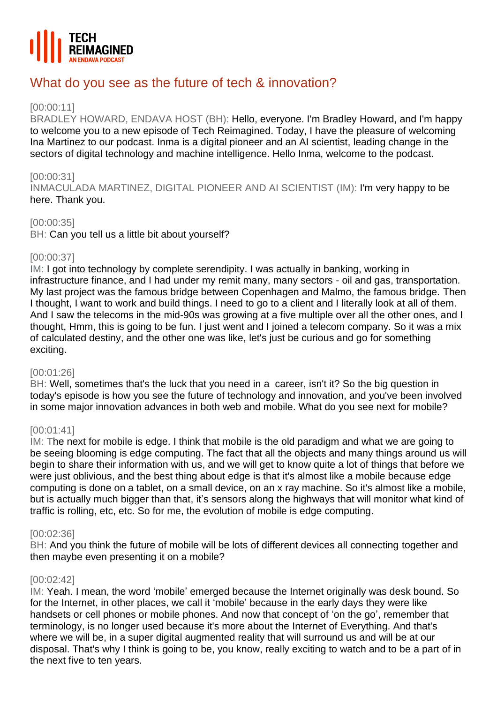

# What do you see as the future of tech & innovation?

# [00:00:11]

BRADLEY HOWARD, ENDAVA HOST (BH): Hello, everyone. I'm Bradley Howard, and I'm happy to welcome you to a new episode of Tech Reimagined. Today, I have the pleasure of welcoming Ina Martinez to our podcast. Inma is a digital pioneer and an AI scientist, leading change in the sectors of digital technology and machine intelligence. Hello Inma, welcome to the podcast.

# [00:00:31]

INMACULADA MARTINEZ, DIGITAL PIONEER AND AI SCIENTIST (IM): I'm very happy to be here. Thank you.

# [00:00:35]

BH: Can you tell us a little bit about yourself?

## [00:00:37]

IM: I got into technology by complete serendipity. I was actually in banking, working in infrastructure finance, and I had under my remit many, many sectors - oil and gas, transportation. My last project was the famous bridge between Copenhagen and Malmo, the famous bridge. Then I thought, I want to work and build things. I need to go to a client and I literally look at all of them. And I saw the telecoms in the mid-90s was growing at a five multiple over all the other ones, and I thought, Hmm, this is going to be fun. I just went and I joined a telecom company. So it was a mix of calculated destiny, and the other one was like, let's just be curious and go for something exciting.

#### [00:01:26]

BH: Well, sometimes that's the luck that you need in a career, isn't it? So the big question in today's episode is how you see the future of technology and innovation, and you've been involved in some major innovation advances in both web and mobile. What do you see next for mobile?

# [00:01:41]

IM: The next for mobile is edge. I think that mobile is the old paradigm and what we are going to be seeing blooming is edge computing. The fact that all the objects and many things around us will begin to share their information with us, and we will get to know quite a lot of things that before we were just oblivious, and the best thing about edge is that it's almost like a mobile because edge computing is done on a tablet, on a small device, on an x ray machine. So it's almost like a mobile, but is actually much bigger than that, it's sensors along the highways that will monitor what kind of traffic is rolling, etc, etc. So for me, the evolution of mobile is edge computing.

#### [00:02:36]

BH: And you think the future of mobile will be lots of different devices all connecting together and then maybe even presenting it on a mobile?

#### [00:02:42]

IM: Yeah. I mean, the word 'mobile' emerged because the Internet originally was desk bound. So for the Internet, in other places, we call it 'mobile' because in the early days they were like handsets or cell phones or mobile phones. And now that concept of 'on the go', remember that terminology, is no longer used because it's more about the Internet of Everything. And that's where we will be, in a super digital augmented reality that will surround us and will be at our disposal. That's why I think is going to be, you know, really exciting to watch and to be a part of in the next five to ten years.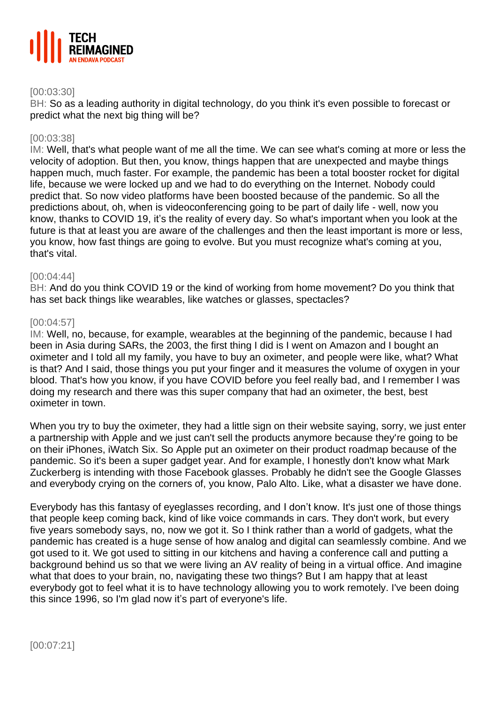

## [00:03:30]

BH: So as a leading authority in digital technology, do you think it's even possible to forecast or predict what the next big thing will be?

#### [00:03:38]

IM: Well, that's what people want of me all the time. We can see what's coming at more or less the velocity of adoption. But then, you know, things happen that are unexpected and maybe things happen much, much faster. For example, the pandemic has been a total booster rocket for digital life, because we were locked up and we had to do everything on the Internet. Nobody could predict that. So now video platforms have been boosted because of the pandemic. So all the predictions about, oh, when is videoconferencing going to be part of daily life - well, now you know, thanks to COVID 19, it's the reality of every day. So what's important when you look at the future is that at least you are aware of the challenges and then the least important is more or less, you know, how fast things are going to evolve. But you must recognize what's coming at you, that's vital.

## [00:04:44]

BH: And do you think COVID 19 or the kind of working from home movement? Do you think that has set back things like wearables, like watches or glasses, spectacles?

## [00:04:57]

IM: Well, no, because, for example, wearables at the beginning of the pandemic, because I had been in Asia during SARs, the 2003, the first thing I did is I went on Amazon and I bought an oximeter and I told all my family, you have to buy an oximeter, and people were like, what? What is that? And I said, those things you put your finger and it measures the volume of oxygen in your blood. That's how you know, if you have COVID before you feel really bad, and I remember I was doing my research and there was this super company that had an oximeter, the best, best oximeter in town.

When you try to buy the oximeter, they had a little sign on their website saying, sorry, we just enter a partnership with Apple and we just can't sell the products anymore because they're going to be on their iPhones, iWatch Six. So Apple put an oximeter on their product roadmap because of the pandemic. So it's been a super gadget year. And for example, I honestly don't know what Mark Zuckerberg is intending with those Facebook glasses. Probably he didn't see the Google Glasses and everybody crying on the corners of, you know, Palo Alto. Like, what a disaster we have done.

Everybody has this fantasy of eyeglasses recording, and I don't know. It's just one of those things that people keep coming back, kind of like voice commands in cars. They don't work, but every five years somebody says, no, now we got it. So I think rather than a world of gadgets, what the pandemic has created is a huge sense of how analog and digital can seamlessly combine. And we got used to it. We got used to sitting in our kitchens and having a conference call and putting a background behind us so that we were living an AV reality of being in a virtual office. And imagine what that does to your brain, no, navigating these two things? But I am happy that at least everybody got to feel what it is to have technology allowing you to work remotely. I've been doing this since 1996, so I'm glad now it's part of everyone's life.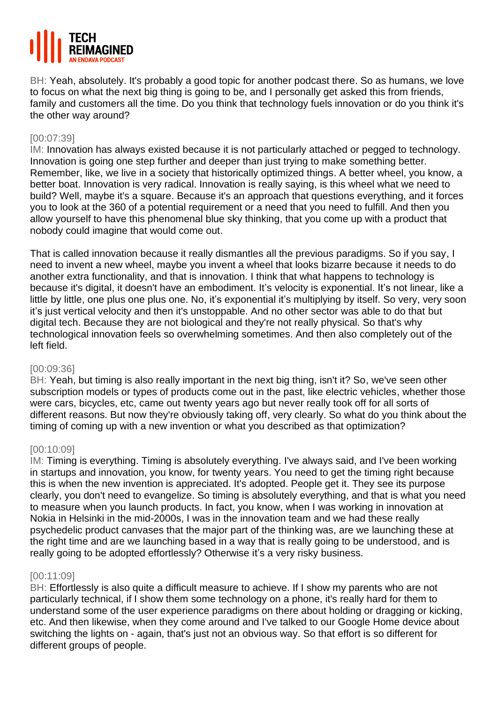

BH: Yeah, absolutely. It's probably a good topic for another podcast there. So as humans, we love to focus on what the next big thing is going to be, and I personally get asked this from friends, family and customers all the time. Do you think that technology fuels innovation or do you think it's the other way around?

## [00:07:39]

IM: Innovation has always existed because it is not particularly attached or pegged to technology. Innovation is going one step further and deeper than just trying to make something better. Remember, like, we live in a society that historically optimized things. A better wheel, you know, a better boat. Innovation is very radical. Innovation is really saying, is this wheel what we need to build? Well, maybe it's a square. Because it's an approach that questions everything, and it forces you to look at the 360 of a potential requirement or a need that you need to fulfill. And then you allow yourself to have this phenomenal blue sky thinking, that you come up with a product that nobody could imagine that would come out.

That is called innovation because it really dismantles all the previous paradigms. So if you say, I need to invent a new wheel, maybe you invent a wheel that looks bizarre because it needs to do another extra functionality, and that is innovation. I think that what happens to technology is because it's digital, it doesn't have an embodiment. It's velocity is exponential. It's not linear, like a little by little, one plus one plus one. No, it's exponential it's multiplying by itself. So very, very soon it's just vertical velocity and then it's unstoppable. And no other sector was able to do that but digital tech. Because they are not biological and they're not really physical. So that's why technological innovation feels so overwhelming sometimes. And then also completely out of the left field.

#### [00:09:36]

BH: Yeah, but timing is also really important in the next big thing, isn't it? So, we've seen other subscription models or types of products come out in the past, like electric vehicles, whether those were cars, bicycles, etc, came out twenty years ago but never really took off for all sorts of different reasons. But now they're obviously taking off, very clearly. So what do you think about the timing of coming up with a new invention or what you described as that optimization?

#### [00:10:09]

IM: Timing is everything. Timing is absolutely everything. I've always said, and I've been working in startups and innovation, you know, for twenty years. You need to get the timing right because this is when the new invention is appreciated. It's adopted. People get it. They see its purpose clearly, you don't need to evangelize. So timing is absolutely everything, and that is what you need to measure when you launch products. In fact, you know, when I was working in innovation at Nokia in Helsinki in the mid-2000s, I was in the innovation team and we had these really psychedelic product canvases that the major part of the thinking was, are we launching these at the right time and are we launching based in a way that is really going to be understood, and is really going to be adopted effortlessly? Otherwise it's a very risky business.

#### [00:11:09]

BH: Effortlessly is also quite a difficult measure to achieve. If I show my parents who are not particularly technical, if I show them some technology on a phone, it's really hard for them to understand some of the user experience paradigms on there about holding or dragging or kicking, etc. And then likewise, when they come around and I've talked to our Google Home device about switching the lights on - again, that's just not an obvious way. So that effort is so different for different groups of people.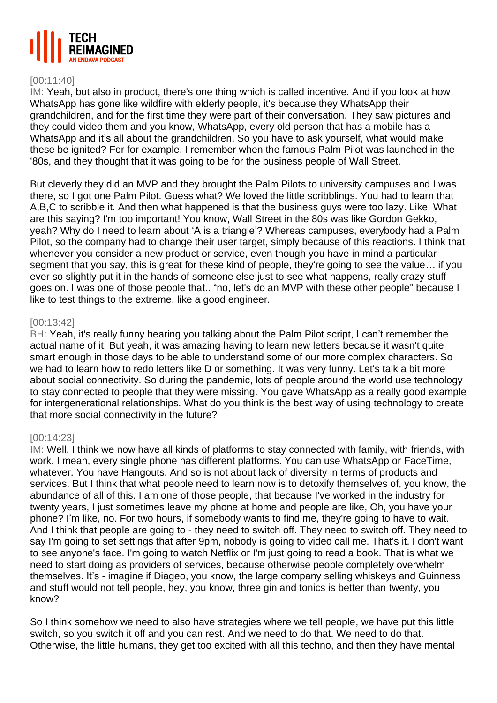

## [00:11:40]

IM: Yeah, but also in product, there's one thing which is called incentive. And if you look at how WhatsApp has gone like wildfire with elderly people, it's because they WhatsApp their grandchildren, and for the first time they were part of their conversation. They saw pictures and they could video them and you know, WhatsApp, every old person that has a mobile has a WhatsApp and it's all about the grandchildren. So you have to ask yourself, what would make these be ignited? For for example, I remember when the famous Palm Pilot was launched in the '80s, and they thought that it was going to be for the business people of Wall Street.

But cleverly they did an MVP and they brought the Palm Pilots to university campuses and I was there, so I got one Palm Pilot. Guess what? We loved the little scribblings. You had to learn that A,B,C to scribble it. And then what happened is that the business guys were too lazy. Like, What are this saying? I'm too important! You know, Wall Street in the 80s was like Gordon Gekko, yeah? Why do I need to learn about 'A is a triangle'? Whereas campuses, everybody had a Palm Pilot, so the company had to change their user target, simply because of this reactions. I think that whenever you consider a new product or service, even though you have in mind a particular segment that you say, this is great for these kind of people, they're going to see the value… if you ever so slightly put it in the hands of someone else just to see what happens, really crazy stuff goes on. I was one of those people that.. "no, let's do an MVP with these other people" because I like to test things to the extreme, like a good engineer.

## [00:13:42]

BH: Yeah, it's really funny hearing you talking about the Palm Pilot script, I can't remember the actual name of it. But yeah, it was amazing having to learn new letters because it wasn't quite smart enough in those days to be able to understand some of our more complex characters. So we had to learn how to redo letters like D or something. It was very funny. Let's talk a bit more about social connectivity. So during the pandemic, lots of people around the world use technology to stay connected to people that they were missing. You gave WhatsApp as a really good example for intergenerational relationships. What do you think is the best way of using technology to create that more social connectivity in the future?

#### [00:14:23]

IM: Well, I think we now have all kinds of platforms to stay connected with family, with friends, with work. I mean, every single phone has different platforms. You can use WhatsApp or FaceTime, whatever. You have Hangouts. And so is not about lack of diversity in terms of products and services. But I think that what people need to learn now is to detoxify themselves of, you know, the abundance of all of this. I am one of those people, that because I've worked in the industry for twenty years, I just sometimes leave my phone at home and people are like, Oh, you have your phone? I'm like, no. For two hours, if somebody wants to find me, they're going to have to wait. And I think that people are going to - they need to switch off. They need to switch off. They need to say I'm going to set settings that after 9pm, nobody is going to video call me. That's it. I don't want to see anyone's face. I'm going to watch Netflix or I'm just going to read a book. That is what we need to start doing as providers of services, because otherwise people completely overwhelm themselves. It's - imagine if Diageo, you know, the large company selling whiskeys and Guinness and stuff would not tell people, hey, you know, three gin and tonics is better than twenty, you know?

So I think somehow we need to also have strategies where we tell people, we have put this little switch, so you switch it off and you can rest. And we need to do that. We need to do that. Otherwise, the little humans, they get too excited with all this techno, and then they have mental